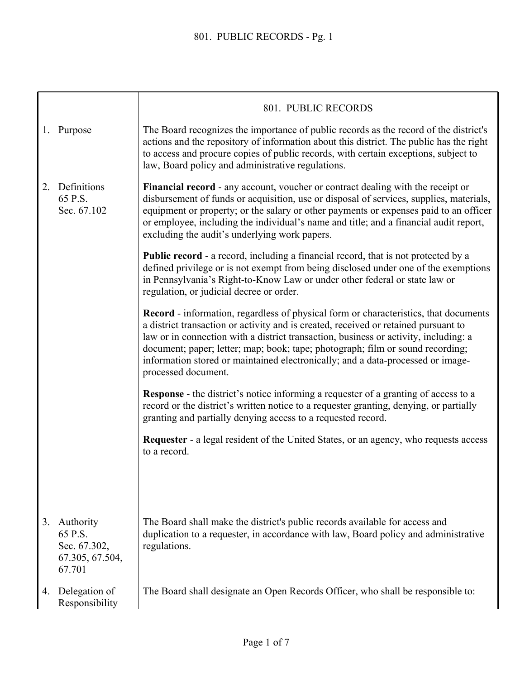|    |                                                                      | 801. PUBLIC RECORDS                                                                                                                                                                                                                                                                                                                                                                                                                                                    |
|----|----------------------------------------------------------------------|------------------------------------------------------------------------------------------------------------------------------------------------------------------------------------------------------------------------------------------------------------------------------------------------------------------------------------------------------------------------------------------------------------------------------------------------------------------------|
|    | 1. Purpose                                                           | The Board recognizes the importance of public records as the record of the district's<br>actions and the repository of information about this district. The public has the right<br>to access and procure copies of public records, with certain exceptions, subject to<br>law, Board policy and administrative regulations.                                                                                                                                           |
| 2. | Definitions<br>65 P.S.<br>Sec. 67.102                                | <b>Financial record</b> - any account, voucher or contract dealing with the receipt or<br>disbursement of funds or acquisition, use or disposal of services, supplies, materials,<br>equipment or property; or the salary or other payments or expenses paid to an officer<br>or employee, including the individual's name and title; and a financial audit report,<br>excluding the audit's underlying work papers.                                                   |
|    |                                                                      | <b>Public record - a record, including a financial record, that is not protected by a</b><br>defined privilege or is not exempt from being disclosed under one of the exemptions<br>in Pennsylvania's Right-to-Know Law or under other federal or state law or<br>regulation, or judicial decree or order.                                                                                                                                                             |
|    |                                                                      | <b>Record</b> - information, regardless of physical form or characteristics, that documents<br>a district transaction or activity and is created, received or retained pursuant to<br>law or in connection with a district transaction, business or activity, including: a<br>document; paper; letter; map; book; tape; photograph; film or sound recording;<br>information stored or maintained electronically; and a data-processed or image-<br>processed document. |
|    |                                                                      | <b>Response</b> - the district's notice informing a requester of a granting of access to a<br>record or the district's written notice to a requester granting, denying, or partially<br>granting and partially denying access to a requested record.                                                                                                                                                                                                                   |
|    |                                                                      | <b>Requester</b> - a legal resident of the United States, or an agency, who requests access<br>to a record.                                                                                                                                                                                                                                                                                                                                                            |
|    |                                                                      |                                                                                                                                                                                                                                                                                                                                                                                                                                                                        |
|    | 3. Authority<br>65 P.S.<br>Sec. 67.302,<br>67.305, 67.504,<br>67.701 | The Board shall make the district's public records available for access and<br>duplication to a requester, in accordance with law, Board policy and administrative<br>regulations.                                                                                                                                                                                                                                                                                     |
| 4. | Delegation of<br>Responsibility                                      | The Board shall designate an Open Records Officer, who shall be responsible to:                                                                                                                                                                                                                                                                                                                                                                                        |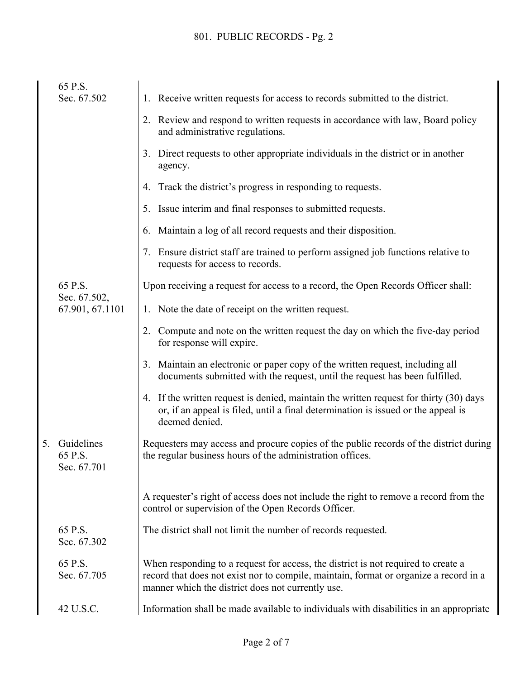|    | 65 P.S.                              |                                                                                                                                                                                                                                 |
|----|--------------------------------------|---------------------------------------------------------------------------------------------------------------------------------------------------------------------------------------------------------------------------------|
|    | Sec. 67.502                          | 1. Receive written requests for access to records submitted to the district.                                                                                                                                                    |
|    |                                      | 2. Review and respond to written requests in accordance with law, Board policy<br>and administrative regulations.                                                                                                               |
|    |                                      | 3. Direct requests to other appropriate individuals in the district or in another<br>agency.                                                                                                                                    |
|    |                                      | Track the district's progress in responding to requests.<br>4.                                                                                                                                                                  |
|    |                                      | Issue interim and final responses to submitted requests.<br>5.                                                                                                                                                                  |
|    |                                      | Maintain a log of all record requests and their disposition.<br>6.                                                                                                                                                              |
|    |                                      | Ensure district staff are trained to perform assigned job functions relative to<br>requests for access to records.                                                                                                              |
|    | 65 P.S.                              | Upon receiving a request for access to a record, the Open Records Officer shall:                                                                                                                                                |
|    | Sec. 67.502,<br>67.901, 67.1101      | 1. Note the date of receipt on the written request.                                                                                                                                                                             |
|    |                                      | Compute and note on the written request the day on which the five-day period<br>2.<br>for response will expire.                                                                                                                 |
|    |                                      | Maintain an electronic or paper copy of the written request, including all<br>3.<br>documents submitted with the request, until the request has been fulfilled.                                                                 |
|    |                                      | 4. If the written request is denied, maintain the written request for thirty (30) days<br>or, if an appeal is filed, until a final determination is issued or the appeal is<br>deemed denied.                                   |
| 5. | Guidelines<br>65 P.S.<br>Sec. 67.701 | Requesters may access and procure copies of the public records of the district during<br>the regular business hours of the administration offices.                                                                              |
|    |                                      | A requester's right of access does not include the right to remove a record from the<br>control or supervision of the Open Records Officer.                                                                                     |
|    | 65 P.S.<br>Sec. 67.302               | The district shall not limit the number of records requested.                                                                                                                                                                   |
|    | 65 P.S.<br>Sec. 67.705               | When responding to a request for access, the district is not required to create a<br>record that does not exist nor to compile, maintain, format or organize a record in a<br>manner which the district does not currently use. |
|    | 42 U.S.C.                            | Information shall be made available to individuals with disabilities in an appropriate                                                                                                                                          |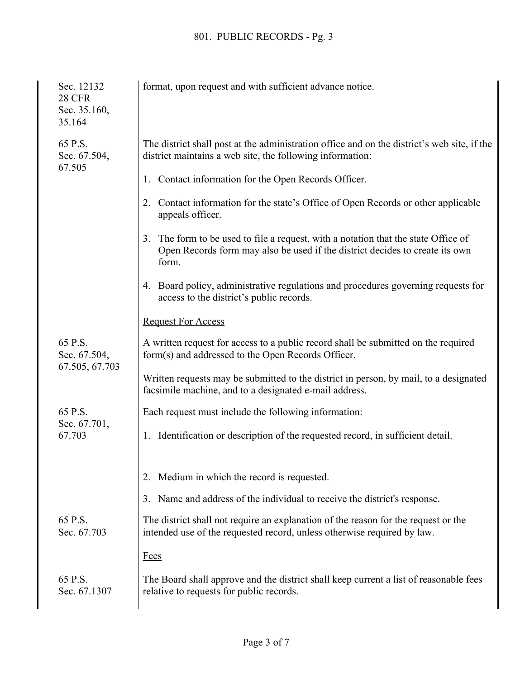| Sec. 12132<br><b>28 CFR</b><br>Sec. 35.160,<br>35.164 | format, upon request and with sufficient advance notice.                                                                                                                       |
|-------------------------------------------------------|--------------------------------------------------------------------------------------------------------------------------------------------------------------------------------|
| 65 P.S.<br>Sec. 67.504,                               | The district shall post at the administration office and on the district's web site, if the<br>district maintains a web site, the following information:                       |
| 67.505                                                | Contact information for the Open Records Officer.<br>1.                                                                                                                        |
|                                                       | Contact information for the state's Office of Open Records or other applicable<br>2.<br>appeals officer.                                                                       |
|                                                       | The form to be used to file a request, with a notation that the state Office of<br>3.<br>Open Records form may also be used if the district decides to create its own<br>form. |
|                                                       | 4. Board policy, administrative regulations and procedures governing requests for<br>access to the district's public records.                                                  |
|                                                       | <b>Request For Access</b>                                                                                                                                                      |
| 65 P.S.<br>Sec. 67.504,<br>67.505, 67.703             | A written request for access to a public record shall be submitted on the required<br>form(s) and addressed to the Open Records Officer.                                       |
|                                                       | Written requests may be submitted to the district in person, by mail, to a designated<br>facsimile machine, and to a designated e-mail address.                                |
| 65 P.S.<br>Sec. 67.701,                               | Each request must include the following information:                                                                                                                           |
| 67.703                                                | Identification or description of the requested record, in sufficient detail.<br>1.                                                                                             |
|                                                       | Medium in which the record is requested.<br>2.                                                                                                                                 |
|                                                       | Name and address of the individual to receive the district's response.<br>3.                                                                                                   |
| 65 P.S.<br>Sec. 67.703                                | The district shall not require an explanation of the reason for the request or the<br>intended use of the requested record, unless otherwise required by law.                  |
|                                                       | <b>Fees</b>                                                                                                                                                                    |
| 65 P.S.<br>Sec. 67.1307                               | The Board shall approve and the district shall keep current a list of reasonable fees<br>relative to requests for public records.                                              |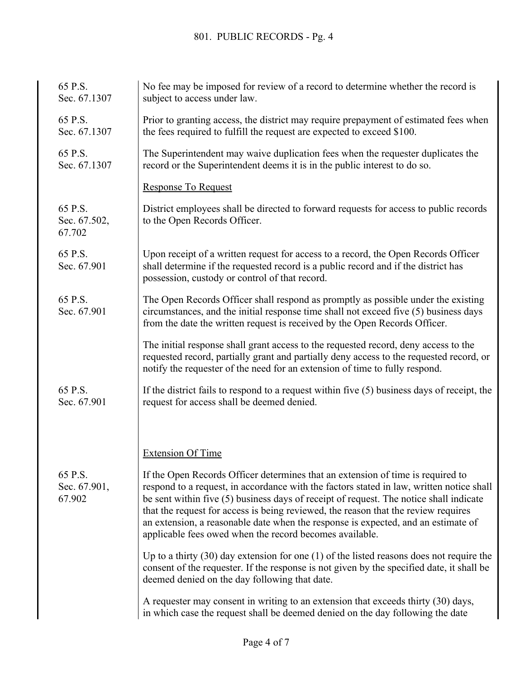| 65 P.S.<br>Sec. 67.1307           | No fee may be imposed for review of a record to determine whether the record is<br>subject to access under law.                                                                                                                                                                                                                                                                                                                                                                                             |
|-----------------------------------|-------------------------------------------------------------------------------------------------------------------------------------------------------------------------------------------------------------------------------------------------------------------------------------------------------------------------------------------------------------------------------------------------------------------------------------------------------------------------------------------------------------|
| 65 P.S.<br>Sec. 67.1307           | Prior to granting access, the district may require prepayment of estimated fees when<br>the fees required to fulfill the request are expected to exceed \$100.                                                                                                                                                                                                                                                                                                                                              |
| 65 P.S.<br>Sec. 67.1307           | The Superintendent may waive duplication fees when the requester duplicates the<br>record or the Superintendent deems it is in the public interest to do so.                                                                                                                                                                                                                                                                                                                                                |
|                                   | <b>Response To Request</b>                                                                                                                                                                                                                                                                                                                                                                                                                                                                                  |
| 65 P.S.<br>Sec. 67.502,<br>67.702 | District employees shall be directed to forward requests for access to public records<br>to the Open Records Officer.                                                                                                                                                                                                                                                                                                                                                                                       |
| 65 P.S.<br>Sec. 67.901            | Upon receipt of a written request for access to a record, the Open Records Officer<br>shall determine if the requested record is a public record and if the district has<br>possession, custody or control of that record.                                                                                                                                                                                                                                                                                  |
| 65 P.S.<br>Sec. 67.901            | The Open Records Officer shall respond as promptly as possible under the existing<br>circumstances, and the initial response time shall not exceed five (5) business days<br>from the date the written request is received by the Open Records Officer.                                                                                                                                                                                                                                                     |
|                                   | The initial response shall grant access to the requested record, deny access to the<br>requested record, partially grant and partially deny access to the requested record, or<br>notify the requester of the need for an extension of time to fully respond.                                                                                                                                                                                                                                               |
| 65 P.S.<br>Sec. 67.901            | If the district fails to respond to a request within five $(5)$ business days of receipt, the<br>request for access shall be deemed denied.                                                                                                                                                                                                                                                                                                                                                                 |
|                                   |                                                                                                                                                                                                                                                                                                                                                                                                                                                                                                             |
|                                   | <b>Extension Of Time</b>                                                                                                                                                                                                                                                                                                                                                                                                                                                                                    |
| 65 P.S.<br>Sec. 67.901,<br>67.902 | If the Open Records Officer determines that an extension of time is required to<br>respond to a request, in accordance with the factors stated in law, written notice shall<br>be sent within five (5) business days of receipt of request. The notice shall indicate<br>that the request for access is being reviewed, the reason that the review requires<br>an extension, a reasonable date when the response is expected, and an estimate of<br>applicable fees owed when the record becomes available. |
|                                   | Up to a thirty $(30)$ day extension for one $(1)$ of the listed reasons does not require the<br>consent of the requester. If the response is not given by the specified date, it shall be<br>deemed denied on the day following that date.                                                                                                                                                                                                                                                                  |
|                                   | A requester may consent in writing to an extension that exceeds thirty (30) days,<br>in which case the request shall be deemed denied on the day following the date                                                                                                                                                                                                                                                                                                                                         |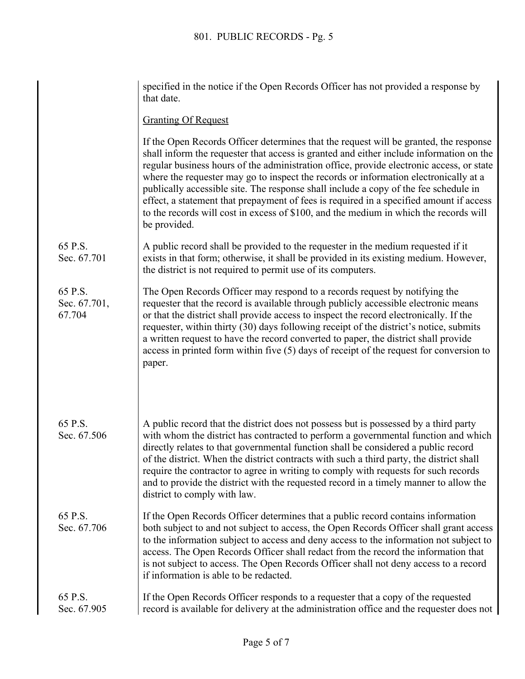|                                   | specified in the notice if the Open Records Officer has not provided a response by<br>that date.                                                                                                                                                                                                                                                                                                                                                                                                                                                                                                                                                                 |
|-----------------------------------|------------------------------------------------------------------------------------------------------------------------------------------------------------------------------------------------------------------------------------------------------------------------------------------------------------------------------------------------------------------------------------------------------------------------------------------------------------------------------------------------------------------------------------------------------------------------------------------------------------------------------------------------------------------|
|                                   | <b>Granting Of Request</b>                                                                                                                                                                                                                                                                                                                                                                                                                                                                                                                                                                                                                                       |
|                                   | If the Open Records Officer determines that the request will be granted, the response<br>shall inform the requester that access is granted and either include information on the<br>regular business hours of the administration office, provide electronic access, or state<br>where the requester may go to inspect the records or information electronically at a<br>publically accessible site. The response shall include a copy of the fee schedule in<br>effect, a statement that prepayment of fees is required in a specified amount if access<br>to the records will cost in excess of \$100, and the medium in which the records will<br>be provided. |
| 65 P.S.<br>Sec. 67.701            | A public record shall be provided to the requester in the medium requested if it<br>exists in that form; otherwise, it shall be provided in its existing medium. However,<br>the district is not required to permit use of its computers.                                                                                                                                                                                                                                                                                                                                                                                                                        |
| 65 P.S.<br>Sec. 67.701,<br>67.704 | The Open Records Officer may respond to a records request by notifying the<br>requester that the record is available through publicly accessible electronic means<br>or that the district shall provide access to inspect the record electronically. If the<br>requester, within thirty (30) days following receipt of the district's notice, submits<br>a written request to have the record converted to paper, the district shall provide<br>access in printed form within five $(5)$ days of receipt of the request for conversion to<br>paper.                                                                                                              |
| 65 P.S.<br>Sec. 67.506            | A public record that the district does not possess but is possessed by a third party<br>with whom the district has contracted to perform a governmental function and which<br>directly relates to that governmental function shall be considered a public record<br>of the district. When the district contracts with such a third party, the district shall<br>require the contractor to agree in writing to comply with requests for such records<br>and to provide the district with the requested record in a timely manner to allow the<br>district to comply with law.                                                                                     |
| 65 P.S.<br>Sec. 67.706            | If the Open Records Officer determines that a public record contains information<br>both subject to and not subject to access, the Open Records Officer shall grant access<br>to the information subject to access and deny access to the information not subject to<br>access. The Open Records Officer shall redact from the record the information that<br>is not subject to access. The Open Records Officer shall not deny access to a record<br>if information is able to be redacted.                                                                                                                                                                     |
| 65 P.S.<br>Sec. 67.905            | If the Open Records Officer responds to a requester that a copy of the requested<br>record is available for delivery at the administration office and the requester does not                                                                                                                                                                                                                                                                                                                                                                                                                                                                                     |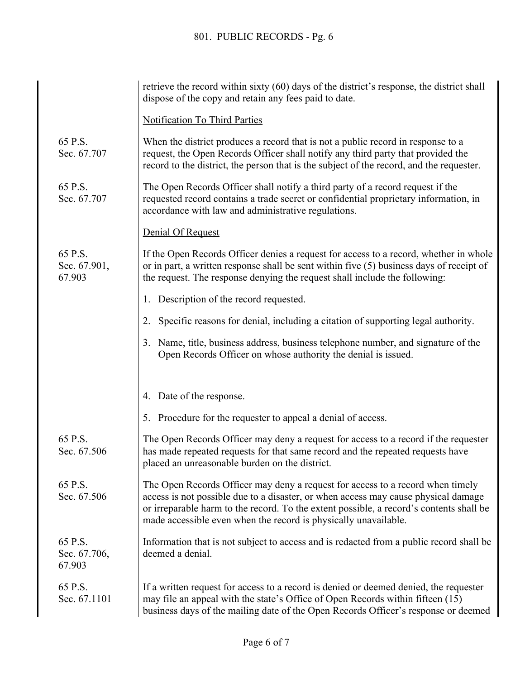|                                   | retrieve the record within sixty (60) days of the district's response, the district shall<br>dispose of the copy and retain any fees paid to date.                                                                                                                                                                                 |
|-----------------------------------|------------------------------------------------------------------------------------------------------------------------------------------------------------------------------------------------------------------------------------------------------------------------------------------------------------------------------------|
|                                   | <b>Notification To Third Parties</b>                                                                                                                                                                                                                                                                                               |
| 65 P.S.<br>Sec. 67.707            | When the district produces a record that is not a public record in response to a<br>request, the Open Records Officer shall notify any third party that provided the<br>record to the district, the person that is the subject of the record, and the requester.                                                                   |
| 65 P.S.<br>Sec. 67.707            | The Open Records Officer shall notify a third party of a record request if the<br>requested record contains a trade secret or confidential proprietary information, in<br>accordance with law and administrative regulations.                                                                                                      |
|                                   | Denial Of Request                                                                                                                                                                                                                                                                                                                  |
| 65 P.S.<br>Sec. 67.901,<br>67.903 | If the Open Records Officer denies a request for access to a record, whether in whole<br>or in part, a written response shall be sent within five $(5)$ business days of receipt of<br>the request. The response denying the request shall include the following:                                                                  |
|                                   | Description of the record requested.<br>1.                                                                                                                                                                                                                                                                                         |
|                                   | Specific reasons for denial, including a citation of supporting legal authority.<br>2.                                                                                                                                                                                                                                             |
|                                   | Name, title, business address, business telephone number, and signature of the<br>3.<br>Open Records Officer on whose authority the denial is issued.                                                                                                                                                                              |
|                                   | 4. Date of the response.                                                                                                                                                                                                                                                                                                           |
|                                   | 5. Procedure for the requester to appeal a denial of access.                                                                                                                                                                                                                                                                       |
| 65 P.S.<br>Sec. 67.506            | The Open Records Officer may deny a request for access to a record if the requester<br>has made repeated requests for that same record and the repeated requests have<br>placed an unreasonable burden on the district.                                                                                                            |
| 65 P.S.<br>Sec. 67.506            | The Open Records Officer may deny a request for access to a record when timely<br>access is not possible due to a disaster, or when access may cause physical damage<br>or irreparable harm to the record. To the extent possible, a record's contents shall be<br>made accessible even when the record is physically unavailable. |
| 65 P.S.<br>Sec. 67.706,<br>67.903 | Information that is not subject to access and is redacted from a public record shall be<br>deemed a denial.                                                                                                                                                                                                                        |
| 65 P.S.<br>Sec. 67.1101           | If a written request for access to a record is denied or deemed denied, the requester<br>may file an appeal with the state's Office of Open Records within fifteen (15)<br>business days of the mailing date of the Open Records Officer's response or deemed                                                                      |